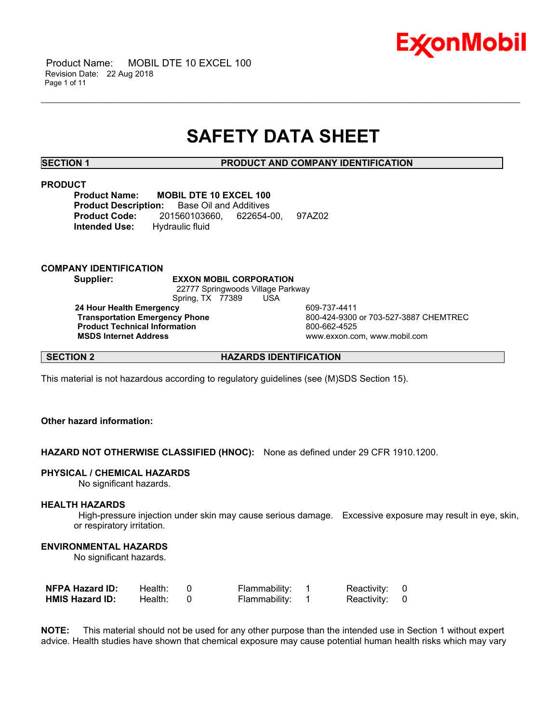

## **SAFETY DATA SHEET**

\_\_\_\_\_\_\_\_\_\_\_\_\_\_\_\_\_\_\_\_\_\_\_\_\_\_\_\_\_\_\_\_\_\_\_\_\_\_\_\_\_\_\_\_\_\_\_\_\_\_\_\_\_\_\_\_\_\_\_\_\_\_\_\_\_\_\_\_\_\_\_\_\_\_\_\_\_\_\_\_\_\_\_\_\_\_\_\_\_\_\_\_\_\_\_\_\_\_\_\_\_\_\_\_\_\_\_\_\_\_\_\_\_\_\_\_\_\_

**SECTION 1 PRODUCT AND COMPANY IDENTIFICATION**

## **PRODUCT**

**Product Name: MOBIL DTE 10 EXCEL 100 Product Description:** Base Oil and Additives **Product Code:** 201560103660, 622654-00, 97AZ02 **Intended Use:** Hydraulic fluid

## **COMPANY IDENTIFICATION**

**Supplier: EXXON MOBIL CORPORATION** 22777 Springwoods Village Parkway Spring, TX 77389 USA **24 Hour Health Emergency 124 COMPRESS 120 AM 24 Hour Health Emergency Transportation Emergency Phone** 800-424-9300 or 703-527-3887 CHEMTREC **Product Technical Information**<br>
MSDS Internet Address<br>
MSDS Internet Address  **MSDS Internet Address** www.exxon.com, www.mobil.com

**SECTION 2 HAZARDS IDENTIFICATION** 

This material is not hazardous according to regulatory guidelines (see (M)SDS Section 15).

## **Other hazard information:**

**HAZARD NOT OTHERWISE CLASSIFIED (HNOC):** None as defined under 29 CFR 1910.1200.

## **PHYSICAL / CHEMICAL HAZARDS**

No significant hazards.

## **HEALTH HAZARDS**

 High-pressure injection under skin may cause serious damage. Excessive exposure may result in eye, skin, or respiratory irritation.

## **ENVIRONMENTAL HAZARDS**

No significant hazards.

| <b>NFPA Hazard ID:</b> | Health: I | Flammability: | Reactivity: 0 |  |
|------------------------|-----------|---------------|---------------|--|
| <b>HMIS Hazard ID:</b> | Health:   | Flammability: | Reactivity: 0 |  |

**NOTE:** This material should not be used for any other purpose than the intended use in Section 1 without expert advice. Health studies have shown that chemical exposure may cause potential human health risks which may vary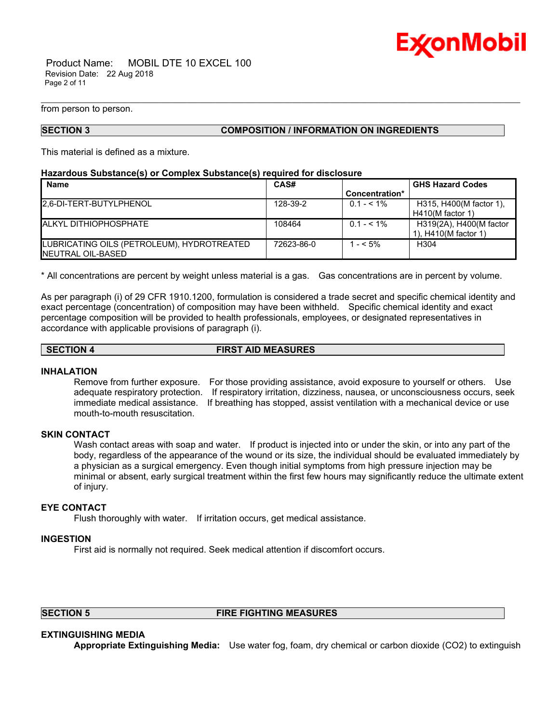

 Product Name: MOBIL DTE 10 EXCEL 100 Revision Date: 22 Aug 2018 Page 2 of 11

from person to person.

## **SECTION 3 COMPOSITION / INFORMATION ON INGREDIENTS**

\_\_\_\_\_\_\_\_\_\_\_\_\_\_\_\_\_\_\_\_\_\_\_\_\_\_\_\_\_\_\_\_\_\_\_\_\_\_\_\_\_\_\_\_\_\_\_\_\_\_\_\_\_\_\_\_\_\_\_\_\_\_\_\_\_\_\_\_\_\_\_\_\_\_\_\_\_\_\_\_\_\_\_\_\_\_\_\_\_\_\_\_\_\_\_\_\_\_\_\_\_\_\_\_\_\_\_\_\_\_\_\_\_\_\_\_\_\_

This material is defined as a mixture.

## **Hazardous Substance(s) or Complex Substance(s) required for disclosure**

| <b>Name</b>                                | CAS#       |                | <b>GHS Hazard Codes</b> |
|--------------------------------------------|------------|----------------|-------------------------|
|                                            |            | Concentration* |                         |
| 2.6-DI-TERT-BUTYLPHENOL                    | 128-39-2   | $0.1 - 5.1\%$  | H315, H400(M factor 1), |
|                                            |            |                | $H410(M$ factor 1)      |
| <b>ALKYL DITHIOPHOSPHATE</b>               | 108464     | $0.1 - 5.1\%$  | H319(2A), H400(M factor |
|                                            |            |                | 1), H410(M factor 1)    |
| LUBRICATING OILS (PETROLEUM), HYDROTREATED | 72623-86-0 | $1 - 5\%$      | H <sub>304</sub>        |
| <b>INEUTRAL OIL-BASED</b>                  |            |                |                         |

\* All concentrations are percent by weight unless material is a gas. Gas concentrations are in percent by volume.

As per paragraph (i) of 29 CFR 1910.1200, formulation is considered a trade secret and specific chemical identity and exact percentage (concentration) of composition may have been withheld. Specific chemical identity and exact percentage composition will be provided to health professionals, employees, or designated representatives in accordance with applicable provisions of paragraph (i).

### **SECTION 4 FIRST AID MEASURES**

## **INHALATION**

Remove from further exposure. For those providing assistance, avoid exposure to yourself or others. Use adequate respiratory protection. If respiratory irritation, dizziness, nausea, or unconsciousness occurs, seek immediate medical assistance. If breathing has stopped, assist ventilation with a mechanical device or use mouth-to-mouth resuscitation.

## **SKIN CONTACT**

Wash contact areas with soap and water. If product is injected into or under the skin, or into any part of the body, regardless of the appearance of the wound or its size, the individual should be evaluated immediately by a physician as a surgical emergency. Even though initial symptoms from high pressure injection may be minimal or absent, early surgical treatment within the first few hours may significantly reduce the ultimate extent of injury.

## **EYE CONTACT**

Flush thoroughly with water. If irritation occurs, get medical assistance.

## **INGESTION**

First aid is normally not required. Seek medical attention if discomfort occurs.

## **SECTION 5 FIRE FIGHTING MEASURES**

## **EXTINGUISHING MEDIA**

**Appropriate Extinguishing Media:** Use water fog, foam, dry chemical or carbon dioxide (CO2) to extinguish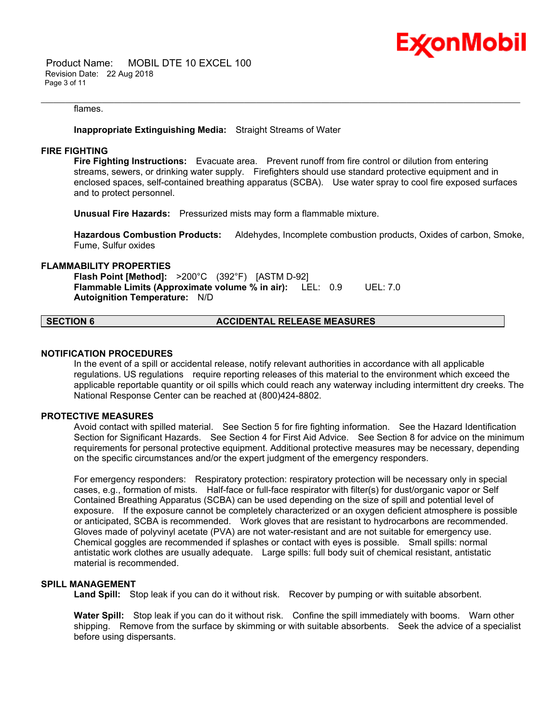

 Product Name: MOBIL DTE 10 EXCEL 100 Revision Date: 22 Aug 2018 Page 3 of 11

### flames.

## **Inappropriate Extinguishing Media:** Straight Streams of Water

## **FIRE FIGHTING**

**Fire Fighting Instructions:** Evacuate area. Prevent runoff from fire control or dilution from entering streams, sewers, or drinking water supply. Firefighters should use standard protective equipment and in enclosed spaces, self-contained breathing apparatus (SCBA). Use water spray to cool fire exposed surfaces and to protect personnel.

\_\_\_\_\_\_\_\_\_\_\_\_\_\_\_\_\_\_\_\_\_\_\_\_\_\_\_\_\_\_\_\_\_\_\_\_\_\_\_\_\_\_\_\_\_\_\_\_\_\_\_\_\_\_\_\_\_\_\_\_\_\_\_\_\_\_\_\_\_\_\_\_\_\_\_\_\_\_\_\_\_\_\_\_\_\_\_\_\_\_\_\_\_\_\_\_\_\_\_\_\_\_\_\_\_\_\_\_\_\_\_\_\_\_\_\_\_\_

**Unusual Fire Hazards:** Pressurized mists may form a flammable mixture.

**Hazardous Combustion Products:** Aldehydes, Incomplete combustion products, Oxides of carbon, Smoke, Fume, Sulfur oxides

## **FLAMMABILITY PROPERTIES**

**Flash Point [Method]:** >200°C (392°F) [ASTM D-92] **Flammable Limits (Approximate volume % in air):** LEL: 0.9 UEL: 7.0 **Autoignition Temperature:** N/D

**SECTION 6 ACCIDENTAL RELEASE MEASURES** 

## **NOTIFICATION PROCEDURES**

In the event of a spill or accidental release, notify relevant authorities in accordance with all applicable regulations. US regulations require reporting releases of this material to the environment which exceed the applicable reportable quantity or oil spills which could reach any waterway including intermittent dry creeks. The National Response Center can be reached at (800)424-8802.

## **PROTECTIVE MEASURES**

Avoid contact with spilled material. See Section 5 for fire fighting information. See the Hazard Identification Section for Significant Hazards. See Section 4 for First Aid Advice. See Section 8 for advice on the minimum requirements for personal protective equipment. Additional protective measures may be necessary, depending on the specific circumstances and/or the expert judgment of the emergency responders.

For emergency responders: Respiratory protection: respiratory protection will be necessary only in special cases, e.g., formation of mists. Half-face or full-face respirator with filter(s) for dust/organic vapor or Self Contained Breathing Apparatus (SCBA) can be used depending on the size of spill and potential level of exposure. If the exposure cannot be completely characterized or an oxygen deficient atmosphere is possible or anticipated, SCBA is recommended. Work gloves that are resistant to hydrocarbons are recommended. Gloves made of polyvinyl acetate (PVA) are not water-resistant and are not suitable for emergency use. Chemical goggles are recommended if splashes or contact with eyes is possible. Small spills: normal antistatic work clothes are usually adequate. Large spills: full body suit of chemical resistant, antistatic material is recommended.

## **SPILL MANAGEMENT**

Land Spill: Stop leak if you can do it without risk. Recover by pumping or with suitable absorbent.

**Water Spill:** Stop leak if you can do it without risk. Confine the spill immediately with booms. Warn other shipping. Remove from the surface by skimming or with suitable absorbents. Seek the advice of a specialist before using dispersants.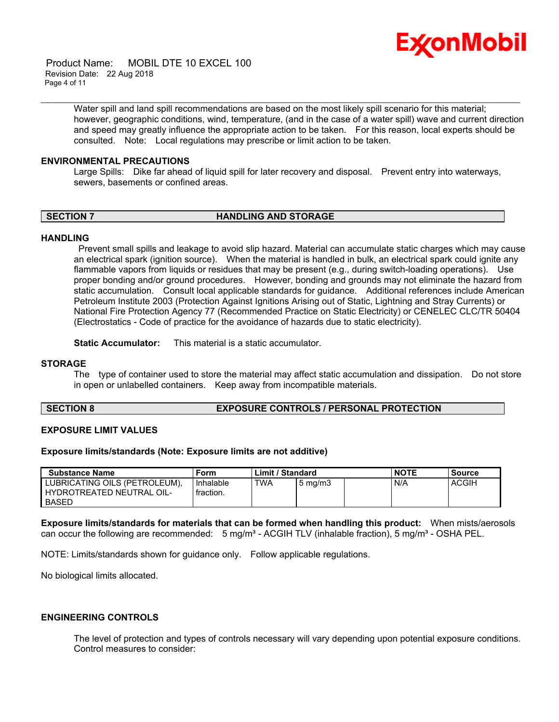

 Product Name: MOBIL DTE 10 EXCEL 100 Revision Date: 22 Aug 2018 Page 4 of 11

> Water spill and land spill recommendations are based on the most likely spill scenario for this material; however, geographic conditions, wind, temperature, (and in the case of a water spill) wave and current direction and speed may greatly influence the appropriate action to be taken. For this reason, local experts should be consulted. Note: Local regulations may prescribe or limit action to be taken.

\_\_\_\_\_\_\_\_\_\_\_\_\_\_\_\_\_\_\_\_\_\_\_\_\_\_\_\_\_\_\_\_\_\_\_\_\_\_\_\_\_\_\_\_\_\_\_\_\_\_\_\_\_\_\_\_\_\_\_\_\_\_\_\_\_\_\_\_\_\_\_\_\_\_\_\_\_\_\_\_\_\_\_\_\_\_\_\_\_\_\_\_\_\_\_\_\_\_\_\_\_\_\_\_\_\_\_\_\_\_\_\_\_\_\_\_\_\_

## **ENVIRONMENTAL PRECAUTIONS**

Large Spills: Dike far ahead of liquid spill for later recovery and disposal. Prevent entry into waterways, sewers, basements or confined areas.

## **SECTION 7 HANDLING AND STORAGE**

## **HANDLING**

 Prevent small spills and leakage to avoid slip hazard. Material can accumulate static charges which may cause an electrical spark (ignition source). When the material is handled in bulk, an electrical spark could ignite any flammable vapors from liquids or residues that may be present (e.g., during switch-loading operations). Use proper bonding and/or ground procedures. However, bonding and grounds may not eliminate the hazard from static accumulation. Consult local applicable standards for guidance. Additional references include American Petroleum Institute 2003 (Protection Against Ignitions Arising out of Static, Lightning and Stray Currents) or National Fire Protection Agency 77 (Recommended Practice on Static Electricity) or CENELEC CLC/TR 50404 (Electrostatics - Code of practice for the avoidance of hazards due to static electricity).

**Static Accumulator:** This material is a static accumulator.

## **STORAGE**

The type of container used to store the material may affect static accumulation and dissipation. Do not store in open or unlabelled containers. Keep away from incompatible materials.

## **SECTION 8 EXPOSURE CONTROLS / PERSONAL PROTECTION**

## **EXPOSURE LIMIT VALUES**

## **Exposure limits/standards (Note: Exposure limits are not additive)**

| <b>Substance Name</b>                                                      | Form                   | Limit / Standard |                  | <b>NOTE</b> | Source       |
|----------------------------------------------------------------------------|------------------------|------------------|------------------|-------------|--------------|
| LUBRICATING OILS (PETROLEUM),<br>HYDROTREATED NEUTRAL OIL-<br><b>BASED</b> | Inhalable<br>fraction. | <b>TWA</b>       | $5 \text{ mg/m}$ | N/A         | <b>ACGIH</b> |

**Exposure limits/standards for materials that can be formed when handling this product:** When mists/aerosols can occur the following are recommended:  $5 \text{ mg/m}^3$  - ACGIH TLV (inhalable fraction),  $5 \text{ mg/m}^3$  - OSHA PEL.

NOTE: Limits/standards shown for guidance only. Follow applicable regulations.

No biological limits allocated.

## **ENGINEERING CONTROLS**

The level of protection and types of controls necessary will vary depending upon potential exposure conditions. Control measures to consider: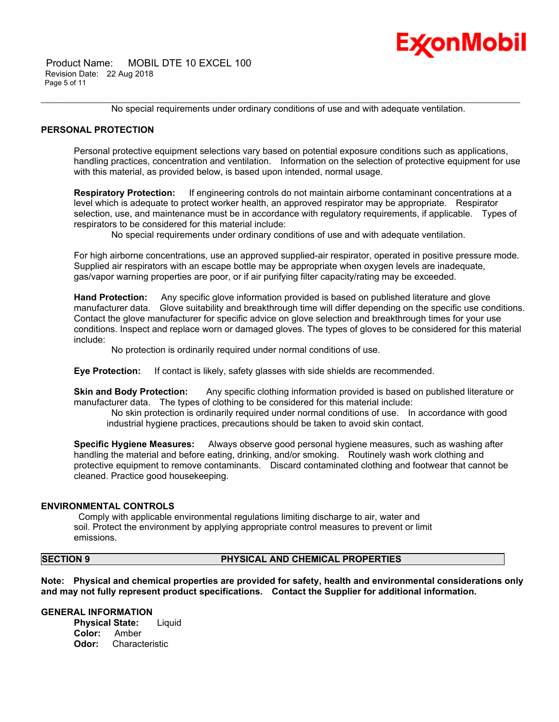

 Product Name: MOBIL DTE 10 EXCEL 100 Revision Date: 22 Aug 2018 Page 5 of 11

\_\_\_\_\_\_\_\_\_\_\_\_\_\_\_\_\_\_\_\_\_\_\_\_\_\_\_\_\_\_\_\_\_\_\_\_\_\_\_\_\_\_\_\_\_\_\_\_\_\_\_\_\_\_\_\_\_\_\_\_\_\_\_\_\_\_\_\_\_\_\_\_\_\_\_\_\_\_\_\_\_\_\_\_\_\_\_\_\_\_\_\_\_\_\_\_\_\_\_\_\_\_\_\_\_\_\_\_\_\_\_\_\_\_\_\_\_\_ No special requirements under ordinary conditions of use and with adequate ventilation.

## **PERSONAL PROTECTION**

Personal protective equipment selections vary based on potential exposure conditions such as applications, handling practices, concentration and ventilation. Information on the selection of protective equipment for use with this material, as provided below, is based upon intended, normal usage.

**Respiratory Protection:** If engineering controls do not maintain airborne contaminant concentrations at a level which is adequate to protect worker health, an approved respirator may be appropriate. Respirator selection, use, and maintenance must be in accordance with regulatory requirements, if applicable. Types of respirators to be considered for this material include:

No special requirements under ordinary conditions of use and with adequate ventilation.

For high airborne concentrations, use an approved supplied-air respirator, operated in positive pressure mode. Supplied air respirators with an escape bottle may be appropriate when oxygen levels are inadequate, gas/vapor warning properties are poor, or if air purifying filter capacity/rating may be exceeded.

**Hand Protection:** Any specific glove information provided is based on published literature and glove manufacturer data. Glove suitability and breakthrough time will differ depending on the specific use conditions. Contact the glove manufacturer for specific advice on glove selection and breakthrough times for your use conditions. Inspect and replace worn or damaged gloves. The types of gloves to be considered for this material include:

No protection is ordinarily required under normal conditions of use.

**Eye Protection:** If contact is likely, safety glasses with side shields are recommended.

**Skin and Body Protection:** Any specific clothing information provided is based on published literature or manufacturer data. The types of clothing to be considered for this material include:

 No skin protection is ordinarily required under normal conditions of use. In accordance with good industrial hygiene practices, precautions should be taken to avoid skin contact.

**Specific Hygiene Measures:** Always observe good personal hygiene measures, such as washing after handling the material and before eating, drinking, and/or smoking. Routinely wash work clothing and protective equipment to remove contaminants. Discard contaminated clothing and footwear that cannot be cleaned. Practice good housekeeping.

## **ENVIRONMENTAL CONTROLS**

 Comply with applicable environmental regulations limiting discharge to air, water and soil. Protect the environment by applying appropriate control measures to prevent or limit emissions.

## **SECTION 9 PHYSICAL AND CHEMICAL PROPERTIES**

**Note: Physical and chemical properties are provided for safety, health and environmental considerations only and may not fully represent product specifications. Contact the Supplier for additional information.**

## **GENERAL INFORMATION**

**Physical State:** Liquid **Color:** Amber **Odor:** Characteristic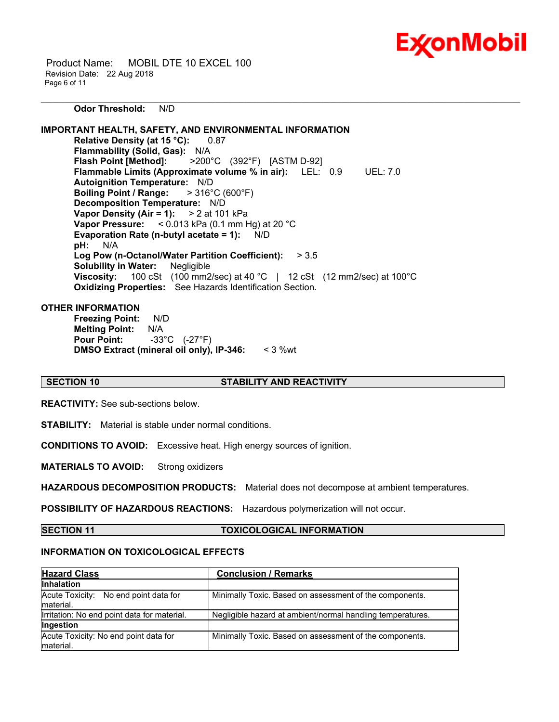

 Product Name: MOBIL DTE 10 EXCEL 100 Revision Date: 22 Aug 2018 Page 6 of 11

**Odor Threshold:** N/D

**IMPORTANT HEALTH, SAFETY, AND ENVIRONMENTAL INFORMATION Relative Density (at 15 °C):** 0.87 **Flammability (Solid, Gas):** N/A **Flash Point [Method]:** >200°C (392°F) [ASTM D-92] **Flammable Limits (Approximate volume % in air):** LEL: 0.9 UEL: 7.0 **Autoignition Temperature:** N/D **Boiling Point / Range:** > 316°C (600°F) **Decomposition Temperature:** N/D **Vapor Density (Air = 1):** > 2 at 101 kPa **Vapor Pressure:** < 0.013 kPa (0.1 mm Hg) at 20 °C **Evaporation Rate (n-butyl acetate = 1):** N/D **pH:** N/A **Log Pow (n-Octanol/Water Partition Coefficient):** > 3.5 **Solubility in Water:** Negligible **Viscosity:** 100 cSt (100 mm2/sec) at 40 °C | 12 cSt (12 mm2/sec) at 100°C **Oxidizing Properties:** See Hazards Identification Section.

## **OTHER INFORMATION**

**Freezing Point:** N/D **Melting Point:** N/A **Pour Point:** -33°C (-27°F) **DMSO Extract (mineral oil only), IP-346:** < 3 %wt

## **SECTION 10 STABILITY AND REACTIVITY**

\_\_\_\_\_\_\_\_\_\_\_\_\_\_\_\_\_\_\_\_\_\_\_\_\_\_\_\_\_\_\_\_\_\_\_\_\_\_\_\_\_\_\_\_\_\_\_\_\_\_\_\_\_\_\_\_\_\_\_\_\_\_\_\_\_\_\_\_\_\_\_\_\_\_\_\_\_\_\_\_\_\_\_\_\_\_\_\_\_\_\_\_\_\_\_\_\_\_\_\_\_\_\_\_\_\_\_\_\_\_\_\_\_\_\_\_\_\_

**REACTIVITY:** See sub-sections below.

**STABILITY:** Material is stable under normal conditions.

**CONDITIONS TO AVOID:** Excessive heat. High energy sources of ignition.

**MATERIALS TO AVOID:** Strong oxidizers

**HAZARDOUS DECOMPOSITION PRODUCTS:** Material does not decompose at ambient temperatures.

**POSSIBILITY OF HAZARDOUS REACTIONS:** Hazardous polymerization will not occur.

**SECTION 11 TOXICOLOGICAL INFORMATION**

## **INFORMATION ON TOXICOLOGICAL EFFECTS**

| <b>Hazard Class</b>                                 | <b>Conclusion / Remarks</b>                                |  |  |
|-----------------------------------------------------|------------------------------------------------------------|--|--|
| <b>Inhalation</b>                                   |                                                            |  |  |
| Acute Toxicity: No end point data for<br>Imaterial. | Minimally Toxic. Based on assessment of the components.    |  |  |
| Irritation: No end point data for material.         | Negligible hazard at ambient/normal handling temperatures. |  |  |
| <b>Ingestion</b>                                    |                                                            |  |  |
| Acute Toxicity: No end point data for<br>material.  | Minimally Toxic. Based on assessment of the components.    |  |  |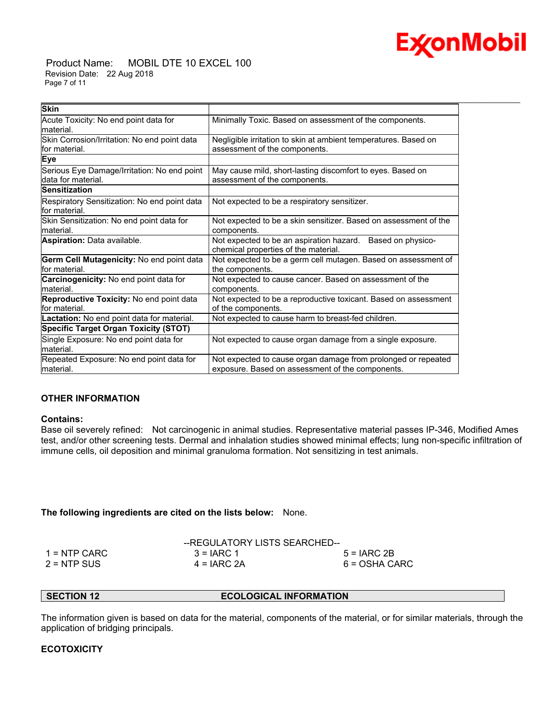# ExconMobil

 Product Name: MOBIL DTE 10 EXCEL 100 Revision Date: 22 Aug 2018 Page 7 of 11

| <b>Skin</b>                                                       |                                                                                                                   |
|-------------------------------------------------------------------|-------------------------------------------------------------------------------------------------------------------|
| Acute Toxicity: No end point data for<br>material.                | Minimally Toxic. Based on assessment of the components.                                                           |
| Skin Corrosion/Irritation: No end point data<br>lfor material.    | Negligible irritation to skin at ambient temperatures. Based on<br>assessment of the components.                  |
| Eye                                                               |                                                                                                                   |
| Serious Eye Damage/Irritation: No end point<br>data for material. | May cause mild, short-lasting discomfort to eyes. Based on<br>assessment of the components.                       |
| <b>Sensitization</b>                                              |                                                                                                                   |
| Respiratory Sensitization: No end point data<br>lfor material.    | Not expected to be a respiratory sensitizer.                                                                      |
| Skin Sensitization: No end point data for<br>material.            | Not expected to be a skin sensitizer. Based on assessment of the<br>components.                                   |
| Aspiration: Data available.                                       | Not expected to be an aspiration hazard. Based on physico-<br>chemical properties of the material.                |
| Germ Cell Mutagenicity: No end point data<br>lfor material.       | Not expected to be a germ cell mutagen. Based on assessment of<br>the components.                                 |
| Carcinogenicity: No end point data for<br>material.               | Not expected to cause cancer. Based on assessment of the<br>components.                                           |
| Reproductive Toxicity: No end point data<br>lfor material.        | Not expected to be a reproductive toxicant. Based on assessment<br>of the components.                             |
| Lactation: No end point data for material.                        | Not expected to cause harm to breast-fed children.                                                                |
| <b>Specific Target Organ Toxicity (STOT)</b>                      |                                                                                                                   |
| Single Exposure: No end point data for<br>material.               | Not expected to cause organ damage from a single exposure.                                                        |
| Repeated Exposure: No end point data for<br>material.             | Not expected to cause organ damage from prolonged or repeated<br>exposure. Based on assessment of the components. |

\_\_\_\_\_\_\_\_\_\_\_\_\_\_\_\_\_\_\_\_\_\_\_\_\_\_\_\_\_\_\_\_\_\_\_\_\_\_\_\_\_\_\_\_\_\_\_\_\_\_\_\_\_\_\_\_\_\_\_\_\_\_\_\_\_\_\_\_\_\_\_\_\_\_\_\_\_\_\_\_\_\_\_\_\_\_\_\_\_\_\_\_\_\_\_\_\_\_\_\_\_\_\_\_\_\_\_\_\_\_\_\_\_\_\_\_\_\_

## **OTHER INFORMATION**

## **Contains:**

Base oil severely refined: Not carcinogenic in animal studies. Representative material passes IP-346, Modified Ames test, and/or other screening tests. Dermal and inhalation studies showed minimal effects; lung non-specific infiltration of immune cells, oil deposition and minimal granuloma formation. Not sensitizing in test animals.

## **The following ingredients are cited on the lists below:** None.

|               | --REGULATORY LISTS SEARCHED-- |               |
|---------------|-------------------------------|---------------|
| 1 = NTP CARC  | $3 = IARC 1$                  | $5 = IARC2B$  |
| $2 = NTP$ SUS | $4 = IARC 2A$                 | 6 = OSHA CARC |

**SECTION 12 ECOLOGICAL INFORMATION** 

The information given is based on data for the material, components of the material, or for similar materials, through the application of bridging principals.

## **ECOTOXICITY**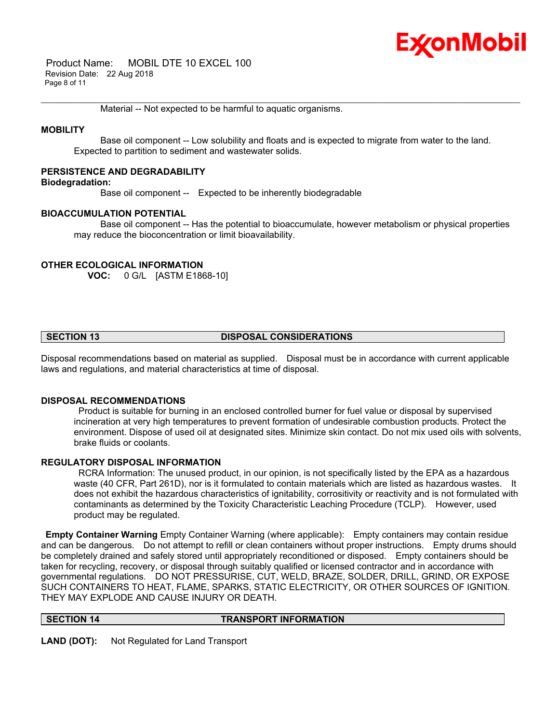## Ex⁄onMobil

 Product Name: MOBIL DTE 10 EXCEL 100 Revision Date: 22 Aug 2018 Page 8 of 11

Material -- Not expected to be harmful to aquatic organisms.

## **MOBILITY**

 Base oil component -- Low solubility and floats and is expected to migrate from water to the land. Expected to partition to sediment and wastewater solids.

\_\_\_\_\_\_\_\_\_\_\_\_\_\_\_\_\_\_\_\_\_\_\_\_\_\_\_\_\_\_\_\_\_\_\_\_\_\_\_\_\_\_\_\_\_\_\_\_\_\_\_\_\_\_\_\_\_\_\_\_\_\_\_\_\_\_\_\_\_\_\_\_\_\_\_\_\_\_\_\_\_\_\_\_\_\_\_\_\_\_\_\_\_\_\_\_\_\_\_\_\_\_\_\_\_\_\_\_\_\_\_\_\_\_\_\_\_\_

## **PERSISTENCE AND DEGRADABILITY**

## **Biodegradation:**

Base oil component -- Expected to be inherently biodegradable

## **BIOACCUMULATION POTENTIAL**

 Base oil component -- Has the potential to bioaccumulate, however metabolism or physical properties may reduce the bioconcentration or limit bioavailability.

## **OTHER ECOLOGICAL INFORMATION**

**VOC:** 0 G/L [ASTM E1868-10]

## **SECTION 13 DISPOSAL CONSIDERATIONS**

Disposal recommendations based on material as supplied. Disposal must be in accordance with current applicable laws and regulations, and material characteristics at time of disposal.

## **DISPOSAL RECOMMENDATIONS**

 Product is suitable for burning in an enclosed controlled burner for fuel value or disposal by supervised incineration at very high temperatures to prevent formation of undesirable combustion products. Protect the environment. Dispose of used oil at designated sites. Minimize skin contact. Do not mix used oils with solvents, brake fluids or coolants.

## **REGULATORY DISPOSAL INFORMATION**

 RCRA Information: The unused product, in our opinion, is not specifically listed by the EPA as a hazardous waste (40 CFR, Part 261D), nor is it formulated to contain materials which are listed as hazardous wastes. It does not exhibit the hazardous characteristics of ignitability, corrositivity or reactivity and is not formulated with contaminants as determined by the Toxicity Characteristic Leaching Procedure (TCLP). However, used product may be regulated.

**Empty Container Warning** Empty Container Warning (where applicable): Empty containers may contain residue and can be dangerous. Do not attempt to refill or clean containers without proper instructions. Empty drums should be completely drained and safely stored until appropriately reconditioned or disposed. Empty containers should be taken for recycling, recovery, or disposal through suitably qualified or licensed contractor and in accordance with governmental regulations. DO NOT PRESSURISE, CUT, WELD, BRAZE, SOLDER, DRILL, GRIND, OR EXPOSE SUCH CONTAINERS TO HEAT, FLAME, SPARKS, STATIC ELECTRICITY, OR OTHER SOURCES OF IGNITION. THEY MAY EXPLODE AND CAUSE INJURY OR DEATH.

## **SECTION 14 TRANSPORT INFORMATION**

**LAND (DOT):** Not Regulated for Land Transport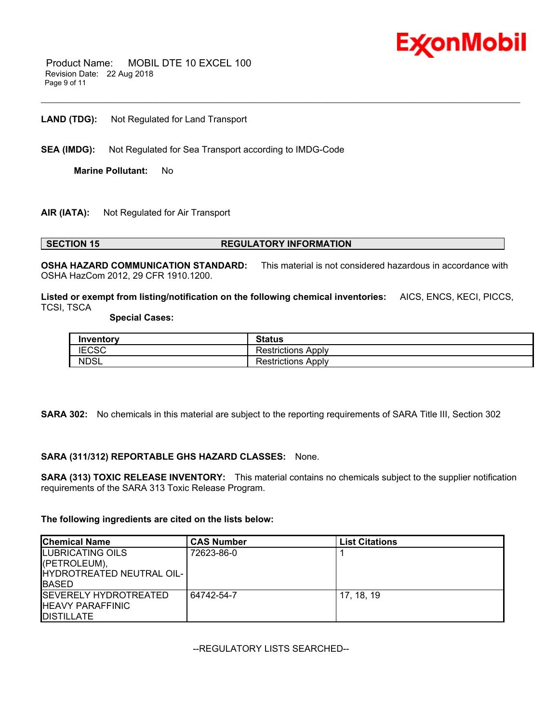

 Product Name: MOBIL DTE 10 EXCEL 100 Revision Date: 22 Aug 2018 Page 9 of 11

**LAND (TDG):** Not Regulated for Land Transport

**SEA (IMDG):** Not Regulated for Sea Transport according to IMDG-Code

**Marine Pollutant:** No

## **AIR (IATA):** Not Regulated for Air Transport

## **SECTION 15 REGULATORY INFORMATION**

**OSHA HAZARD COMMUNICATION STANDARD:** This material is not considered hazardous in accordance with OSHA HazCom 2012, 29 CFR 1910.1200.

\_\_\_\_\_\_\_\_\_\_\_\_\_\_\_\_\_\_\_\_\_\_\_\_\_\_\_\_\_\_\_\_\_\_\_\_\_\_\_\_\_\_\_\_\_\_\_\_\_\_\_\_\_\_\_\_\_\_\_\_\_\_\_\_\_\_\_\_\_\_\_\_\_\_\_\_\_\_\_\_\_\_\_\_\_\_\_\_\_\_\_\_\_\_\_\_\_\_\_\_\_\_\_\_\_\_\_\_\_\_\_\_\_\_\_\_\_\_

**Listed or exempt from listing/notification on the following chemical inventories:** AICS, ENCS, KECI, PICCS, TCSI, TSCA

## **Special Cases:**

| Inventory           | <b>Status</b>                |
|---------------------|------------------------------|
| <b>IFCSC</b><br>טסט | <b>Restrictions</b><br>Apply |
| <b>NDSL</b>         | <b>Restrictions Apply</b>    |

**SARA 302:** No chemicals in this material are subject to the reporting requirements of SARA Title III, Section 302

**SARA (311/312) REPORTABLE GHS HAZARD CLASSES:** None.

**SARA (313) TOXIC RELEASE INVENTORY:** This material contains no chemicals subject to the supplier notification requirements of the SARA 313 Toxic Release Program.

## **The following ingredients are cited on the lists below:**

| <b>Chemical Name</b>          | <b>CAS Number</b> | <b>List Citations</b> |
|-------------------------------|-------------------|-----------------------|
| <b>ILUBRICATING OILS</b>      | 72623-86-0        |                       |
| ((PETROLEUM),                 |                   |                       |
| HYDROTREATED NEUTRAL OIL-     |                   |                       |
| <b>BASED</b>                  |                   |                       |
| <b>ISEVERELY HYDROTREATED</b> | 64742-54-7        | 17, 18, 19            |
| <b>HEAVY PARAFFINIC</b>       |                   |                       |
| <b>IDISTILLATE</b>            |                   |                       |

--REGULATORY LISTS SEARCHED--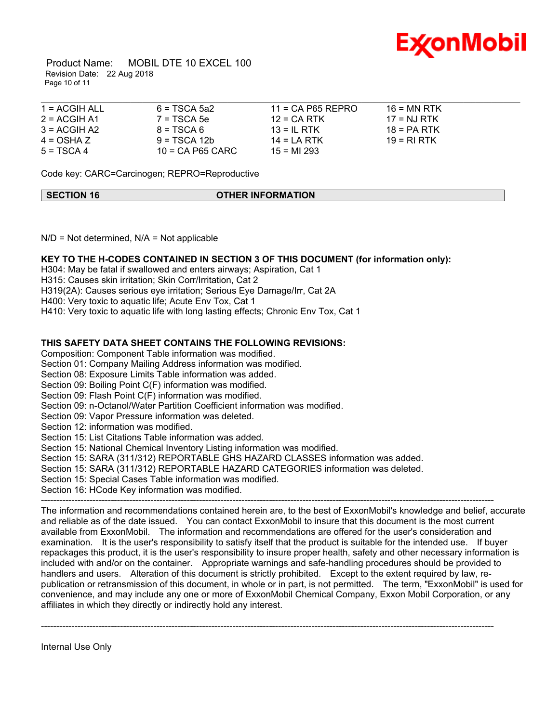

 Product Name: MOBIL DTE 10 EXCEL 100 Revision Date: 22 Aug 2018 Page 10 of 11

| $1 = ACGIH ALL$ | $6 = TSCA$ 5a2     | $11 = CA$ P65 REPRO | $16 = MN$ RTK |  |
|-----------------|--------------------|---------------------|---------------|--|
| $2 = ACGIH A1$  | $7 = TSCA5e$       | $12 = CA$ RTK       | $17 = NJ RTK$ |  |
| $3 = ACGIH A2$  | $8 = TSCA6$        | $13 = IL$ RTK       | $18 = PA RTK$ |  |
| $4 = OSHA Z$    | $9 = TSCA 12b$     | $14 = LA RTK$       | 19 = RI RTK   |  |
| $5 = TSCA4$     | $10$ = CA P65 CARC | $15 = M1293$        |               |  |

Code key: CARC=Carcinogen; REPRO=Reproductive

| <b>SECTION 16</b> | <b>OTHER INFORMATION</b> |
|-------------------|--------------------------|
|                   |                          |

 $N/D$  = Not determined,  $N/A$  = Not applicable

## **KEY TO THE H-CODES CONTAINED IN SECTION 3 OF THIS DOCUMENT (for information only):**

H304: May be fatal if swallowed and enters airways; Aspiration, Cat 1

H315: Causes skin irritation; Skin Corr/Irritation, Cat 2

H319(2A): Causes serious eye irritation; Serious Eye Damage/Irr, Cat 2A

H400: Very toxic to aquatic life; Acute Env Tox, Cat 1

H410: Very toxic to aquatic life with long lasting effects; Chronic Env Tox, Cat 1

## **THIS SAFETY DATA SHEET CONTAINS THE FOLLOWING REVISIONS:**

Composition: Component Table information was modified.

Section 01: Company Mailing Address information was modified.

Section 08: Exposure Limits Table information was added.

Section 09: Boiling Point C(F) information was modified.

Section 09: Flash Point C(F) information was modified.

Section 09: n-Octanol/Water Partition Coefficient information was modified.

Section 09: Vapor Pressure information was deleted.

Section 12: information was modified.

Section 15: List Citations Table information was added.

Section 15: National Chemical Inventory Listing information was modified.

Section 15: SARA (311/312) REPORTABLE GHS HAZARD CLASSES information was added.

Section 15: SARA (311/312) REPORTABLE HAZARD CATEGORIES information was deleted.

Section 15: Special Cases Table information was modified.

Section 16: HCode Key information was modified.

The information and recommendations contained herein are, to the best of ExxonMobil's knowledge and belief, accurate and reliable as of the date issued. You can contact ExxonMobil to insure that this document is the most current available from ExxonMobil. The information and recommendations are offered for the user's consideration and examination. It is the user's responsibility to satisfy itself that the product is suitable for the intended use. If buyer repackages this product, it is the user's responsibility to insure proper health, safety and other necessary information is included with and/or on the container. Appropriate warnings and safe-handling procedures should be provided to handlers and users. Alteration of this document is strictly prohibited. Except to the extent required by law, republication or retransmission of this document, in whole or in part, is not permitted. The term, "ExxonMobil" is used for convenience, and may include any one or more of ExxonMobil Chemical Company, Exxon Mobil Corporation, or any affiliates in which they directly or indirectly hold any interest.

-----------------------------------------------------------------------------------------------------------------------------------------------------

-----------------------------------------------------------------------------------------------------------------------------------------------------

Internal Use Only